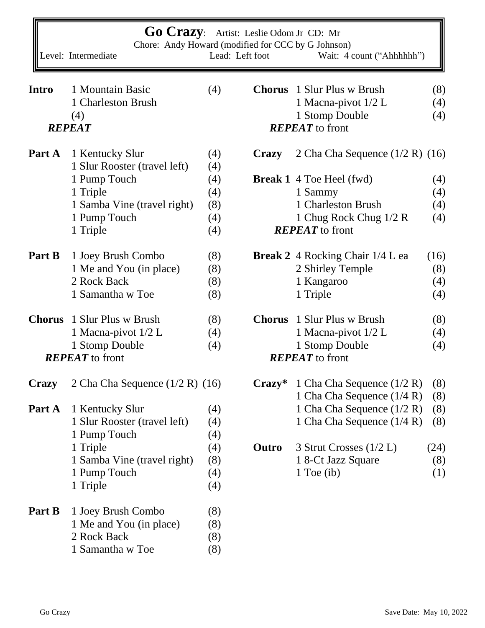| <b>Go Crazy:</b><br>Artist: Leslie Odom Jr CD: Mr<br>Chore: Andy Howard (modified for CCC by G Johnson)<br>Lead: Left foot<br>Level: Intermediate<br>Wait: 4 count ("Ahhhhhh") |                                     |     |                        |                                         |      |  |  |  |  |  |
|--------------------------------------------------------------------------------------------------------------------------------------------------------------------------------|-------------------------------------|-----|------------------------|-----------------------------------------|------|--|--|--|--|--|
|                                                                                                                                                                                |                                     |     |                        |                                         |      |  |  |  |  |  |
| <b>Intro</b>                                                                                                                                                                   | 1 Mountain Basic                    | (4) |                        | <b>Chorus</b> 1 Slur Plus w Brush       | (8)  |  |  |  |  |  |
|                                                                                                                                                                                | 1 Charleston Brush                  |     |                        | 1 Macna-pivot 1/2 L                     | (4)  |  |  |  |  |  |
|                                                                                                                                                                                | (4)                                 |     |                        | 1 Stomp Double                          | (4)  |  |  |  |  |  |
|                                                                                                                                                                                | <b>REPEAT</b>                       |     |                        | <b>REPEAT</b> to front                  |      |  |  |  |  |  |
| Part A                                                                                                                                                                         | 1 Kentucky Slur                     | (4) | <b>Crazy</b>           | 2 Cha Cha Sequence $(1/2 R)$ $(16)$     |      |  |  |  |  |  |
|                                                                                                                                                                                | 1 Slur Rooster (travel left)        | (4) |                        |                                         |      |  |  |  |  |  |
|                                                                                                                                                                                | 1 Pump Touch                        | (4) |                        | <b>Break 1</b> 4 Toe Heel (fwd)         | (4)  |  |  |  |  |  |
|                                                                                                                                                                                | 1 Triple                            | (4) |                        | 1 Sammy                                 | (4)  |  |  |  |  |  |
|                                                                                                                                                                                | 1 Samba Vine (travel right)         | (8) |                        | 1 Charleston Brush                      | (4)  |  |  |  |  |  |
|                                                                                                                                                                                | 1 Pump Touch                        | (4) |                        | 1 Chug Rock Chug 1/2 R                  | (4)  |  |  |  |  |  |
|                                                                                                                                                                                | 1 Triple                            | (4) |                        | <b>REPEAT</b> to front                  |      |  |  |  |  |  |
| Part B                                                                                                                                                                         | 1 Joey Brush Combo                  | (8) |                        | <b>Break 2</b> 4 Rocking Chair 1/4 L ea | (16) |  |  |  |  |  |
|                                                                                                                                                                                | 1 Me and You (in place)             | (8) |                        | 2 Shirley Temple                        | (8)  |  |  |  |  |  |
|                                                                                                                                                                                | 2 Rock Back                         | (8) |                        | 1 Kangaroo                              | (4)  |  |  |  |  |  |
|                                                                                                                                                                                | 1 Samantha w Toe                    | (8) |                        | 1 Triple                                | (4)  |  |  |  |  |  |
|                                                                                                                                                                                | <b>Chorus</b> 1 Slur Plus w Brush   | (8) | <b>Chorus</b>          | 1 Slur Plus w Brush                     | (8)  |  |  |  |  |  |
|                                                                                                                                                                                | 1 Macna-pivot 1/2 L                 | (4) |                        | 1 Macna-pivot 1/2 L                     | (4)  |  |  |  |  |  |
|                                                                                                                                                                                | 1 Stomp Double                      | (4) |                        | 1 Stomp Double                          | (4)  |  |  |  |  |  |
|                                                                                                                                                                                | <b>REPEAT</b> to front              |     | <b>REPEAT</b> to front |                                         |      |  |  |  |  |  |
| Crazy                                                                                                                                                                          | 2 Cha Cha Sequence $(1/2 R)$ $(16)$ |     | $C{\bf razv}^*$        | 1 Cha Cha Sequence $(1/2 \text{ R})$    | (8)  |  |  |  |  |  |
|                                                                                                                                                                                |                                     |     |                        | 1 Cha Cha Sequence (1/4 R)              | (8)  |  |  |  |  |  |
| Part A                                                                                                                                                                         | 1 Kentucky Slur                     | (4) |                        | 1 Cha Cha Sequence (1/2 R)              | (8)  |  |  |  |  |  |
|                                                                                                                                                                                | 1 Slur Rooster (travel left)        | (4) |                        | 1 Cha Cha Sequence (1/4 R)              | (8)  |  |  |  |  |  |
|                                                                                                                                                                                | 1 Pump Touch                        | (4) |                        |                                         |      |  |  |  |  |  |
|                                                                                                                                                                                | 1 Triple                            | (4) | Outro                  | 3 Strut Crosses $(1/2 L)$               | (24) |  |  |  |  |  |
|                                                                                                                                                                                | 1 Samba Vine (travel right)         | (8) |                        | 1 8-Ct Jazz Square                      | (8)  |  |  |  |  |  |
|                                                                                                                                                                                | 1 Pump Touch                        | (4) |                        | 1 Toe $(ib)$                            | (1)  |  |  |  |  |  |
|                                                                                                                                                                                | 1 Triple                            | (4) |                        |                                         |      |  |  |  |  |  |
| Part B                                                                                                                                                                         | 1 Joey Brush Combo                  | (8) |                        |                                         |      |  |  |  |  |  |
|                                                                                                                                                                                | 1 Me and You (in place)             | (8) |                        |                                         |      |  |  |  |  |  |
|                                                                                                                                                                                | 2 Rock Back                         | (8) |                        |                                         |      |  |  |  |  |  |
|                                                                                                                                                                                | 1 Samantha w Toe                    | (8) |                        |                                         |      |  |  |  |  |  |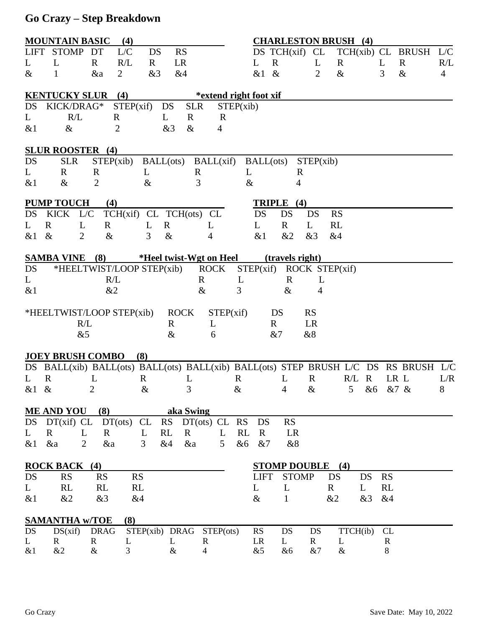## **Go Crazy – Step Breakdown**

| <b>MOUNTAIN BASIC</b><br>(4)                                           |                         |                        |                                    |                    |                                                                                     |                   | <b>CHARLESTON BRUSH (4)</b> |                    |                |                 |              |                |
|------------------------------------------------------------------------|-------------------------|------------------------|------------------------------------|--------------------|-------------------------------------------------------------------------------------|-------------------|-----------------------------|--------------------|----------------|-----------------|--------------|----------------|
| <b>LIFT</b>                                                            | STOMP DT                |                        | L/C<br>DS                          | <b>RS</b>          |                                                                                     |                   | $DS$ TCH $(xif)$ CL         |                    |                | TCH(xib) CL     | <b>BRUSH</b> | L/C            |
| L                                                                      | L                       | $\mathbf{R}$           | R/L<br>$\mathbf{R}$                | <b>LR</b>          |                                                                                     |                   | $\mathbf R$                 | L                  | $\bf R$        | L               | $\mathbf R$  | R/L            |
| $\&$                                                                   |                         | &a                     | &3<br>$\overline{2}$               | &4                 |                                                                                     |                   | &1 &                        | $\overline{2}$     | $\&$           | 3               | $\&$         | $\overline{4}$ |
| (4)<br><b>KENTUCKY SLUR</b><br>*extend right foot xif                  |                         |                        |                                    |                    |                                                                                     |                   |                             |                    |                |                 |              |                |
| DS                                                                     | KICK/DRAG*              |                        | STEP(xif)                          | DS                 | <b>SLR</b>                                                                          | STEP(xib)         |                             |                    |                |                 |              |                |
| L                                                                      | R/L                     |                        | R                                  | L<br>$\mathbf R$   | $\mathbf R$                                                                         |                   |                             |                    |                |                 |              |                |
| $&$ 1                                                                  | $\&$                    |                        | 2                                  | &3                 | $\&$<br>4                                                                           |                   |                             |                    |                |                 |              |                |
|                                                                        | <b>SLUR ROOSTER</b> (4) |                        |                                    |                    |                                                                                     |                   |                             |                    |                |                 |              |                |
| DS                                                                     | <b>SLR</b>              | STEP(xib)              |                                    |                    | BALL(ots) BALL(xif) BALL(ots)                                                       |                   |                             | STEP(xib)          |                |                 |              |                |
| L                                                                      | R                       | R                      | L                                  |                    | R                                                                                   | L                 | $\mathbf R$                 |                    |                |                 |              |                |
| $&$ 1                                                                  | $\&$                    | $\overline{2}$         | $\&$                               |                    | 3                                                                                   | $\&$              | 4                           |                    |                |                 |              |                |
| <b>PUMP TOUCH</b><br>TRIPLE (4)<br>(4)                                 |                         |                        |                                    |                    |                                                                                     |                   |                             |                    |                |                 |              |                |
| DS                                                                     | <b>KICK</b>             | L/C                    | TCH(xif) CL TCH(ots) CL            |                    |                                                                                     | DS                | DS                          | DS                 | <b>RS</b>      |                 |              |                |
| L                                                                      | $\mathbf{R}$            | L<br>$\mathbf{R}$      | L                                  | $\mathbf{R}$       | L                                                                                   | L                 | $\mathbf R$                 | L                  | RL             |                 |              |                |
| &1                                                                     | $\&$                    | $\overline{2}$<br>$\&$ | 3                                  | $\&$               | 4                                                                                   | &1                | &2                          | &3                 | &4             |                 |              |                |
| <b>SAMBA VINE</b><br>(8)<br>*Heel twist-Wgt on Heel<br>(travels right) |                         |                        |                                    |                    |                                                                                     |                   |                             |                    |                |                 |              |                |
| DS                                                                     |                         |                        | *HEELTWIST/LOOP STEP(xib)          |                    | <b>ROCK</b>                                                                         |                   | STEP(xif) ROCK STEP(xif)    |                    |                |                 |              |                |
| L                                                                      |                         | R/L                    |                                    |                    | $\mathbf R$                                                                         | L                 | $\mathbf R$                 | L                  |                |                 |              |                |
| $&$ 1                                                                  |                         | &2                     |                                    |                    | $\&$                                                                                | 3                 | $\&$                        | 4                  |                |                 |              |                |
|                                                                        |                         |                        | *HEELTWIST/LOOP STEP(xib)          | <b>ROCK</b>        | STEP(xif)                                                                           |                   | DS                          | <b>RS</b>          |                |                 |              |                |
|                                                                        |                         | R/L                    |                                    | R                  | L                                                                                   |                   | $\mathbf{R}$                | LR                 |                |                 |              |                |
|                                                                        |                         | &5                     |                                    | $\&$               | 6                                                                                   |                   | &7                          | &8                 |                |                 |              |                |
|                                                                        | <b>JOEY BRUSH COMBO</b> |                        | (8)                                |                    |                                                                                     |                   |                             |                    |                |                 |              |                |
|                                                                        |                         |                        |                                    |                    | DS BALL(xib) BALL(ots) BALL(ots) BALL(xib) BALL(ots) STEP BRUSH L/C DS RS BRUSH L/C |                   |                             |                    |                |                 |              |                |
| L                                                                      | $\mathbf R$             | L                      | $\mathbf R$                        | L                  |                                                                                     | R                 | L                           | $\mathbf R$        | $R/L$ R        |                 | LR L         | L/R            |
| &1 &                                                                   |                         | 2                      | $\&$                               | 3                  |                                                                                     | $\&$              | $\overline{4}$              | $\&$               | 5 <sup>5</sup> | &6 &7 &         |              | 8              |
|                                                                        | <b>ME AND YOU</b>       | (8)                    |                                    | aka Swing          |                                                                                     |                   |                             |                    |                |                 |              |                |
|                                                                        |                         |                        | $DS$ $DT(xif)$ $CL$ $DT(ots)$ $CL$ |                    | $RS$ $DT(ots)$ $CL$                                                                 | DS<br>RS          | RS                          |                    |                |                 |              |                |
| L                                                                      | $\mathbf R$             | L<br>$\mathbf R$       | $\mathbf{L}$                       | RL<br>$\mathbf{R}$ | L                                                                                   | RL<br>$\mathbf R$ | LR                          |                    |                |                 |              |                |
| &1                                                                     | &a                      | &a<br>2                | $\mathfrak{Z}$                     | &4<br>&a           | 5 <sup>5</sup>                                                                      | &6<br>&7          | &8                          |                    |                |                 |              |                |
|                                                                        | <b>ROCK BACK (4)</b>    |                        |                                    |                    |                                                                                     |                   | <b>STOMP DOUBLE</b> (4)     |                    |                |                 |              |                |
| DS                                                                     | <b>RS</b>               | <b>RS</b>              | RS                                 |                    |                                                                                     | <b>LIFT</b>       | <b>STOMP</b>                |                    | DS             | DS<br><b>RS</b> |              |                |
| L                                                                      | RL                      | <b>RL</b>              | RL                                 |                    |                                                                                     | L                 | L                           |                    | $\mathbf R$    | RL<br>L         |              |                |
| &1                                                                     | &2                      | &3                     | &4                                 |                    |                                                                                     | $\&$              | $\mathbf{1}$                |                    | &2             | &3<br>&4        |              |                |
|                                                                        |                         |                        |                                    |                    |                                                                                     |                   |                             |                    |                |                 |              |                |
| DS                                                                     | <b>SAMANTHA w/TOE</b>   | <b>DRAG</b>            | (8)                                | STEP(xib) DRAG     |                                                                                     | <b>RS</b>         | DS                          |                    |                | CL              |              |                |
| L                                                                      | DS(xif)<br>$\mathbf R$  | $\mathbf R$            | L                                  | L                  | STEP(ots)<br>$\mathbf R$                                                            | LR                | L                           | DS<br>$\mathbf{R}$ | TTCH(ib)<br>L  | $\mathbf R$     |              |                |
| &1                                                                     | &2                      | $\&$                   | 3                                  | $\&$               | $\overline{4}$                                                                      | &5                | &6                          | &7                 | $\&$           | $8\,$           |              |                |